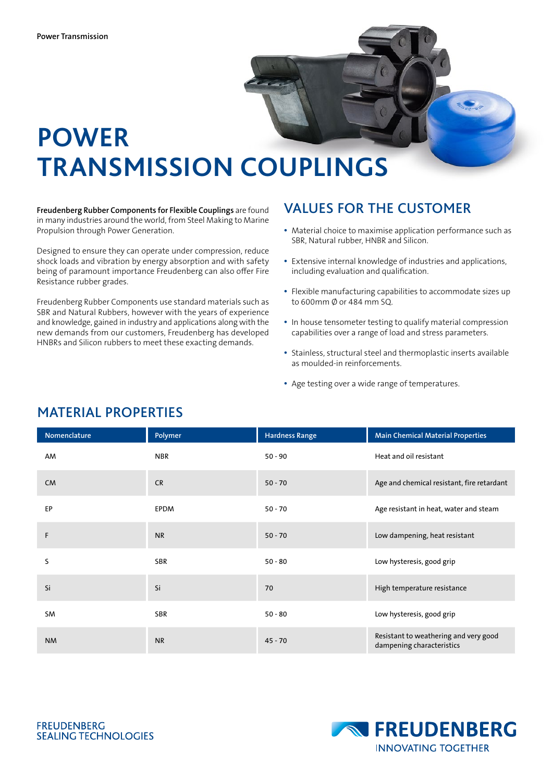

# **POWER TRANSMISSION COUPLINGS**

**Freudenberg Rubber Components for Flexible Couplings** are found in many industries around the world, from Steel Making to Marine Propulsion through Power Generation.

Designed to ensure they can operate under compression, reduce shock loads and vibration by energy absorption and with safety being of paramount importance Freudenberg can also offer Fire Resistance rubber grades.

Freudenberg Rubber Components use standard materials such as SBR and Natural Rubbers, however with the years of experience and knowledge, gained in industry and applications along with the new demands from our customers, Freudenberg has developed HNBRs and Silicon rubbers to meet these exacting demands.

#### VALUES FOR THE CUSTOMER

- � Material choice to maximise application performance such as SBR, Natural rubber, HNBR and Silicon.
- � Extensive internal knowledge of industries and applications, including evaluation and qualification.
- � Flexible manufacturing capabilities to accommodate sizes up to 600mm Ø or 484 mm SQ.
- � In house tensometer testing to qualify material compression capabilities over a range of load and stress parameters.
- � Stainless, structural steel and thermoplastic inserts available as moulded-in reinforcements.
- � Age testing over a wide range of temperatures.

| Nomenclature | Polymer     | <b>Hardness Range</b> | <b>Main Chemical Material Properties</b>                           |
|--------------|-------------|-----------------------|--------------------------------------------------------------------|
| AM           | <b>NBR</b>  | $50 - 90$             | Heat and oil resistant                                             |
| <b>CM</b>    | <b>CR</b>   | $50 - 70$             | Age and chemical resistant, fire retardant                         |
| EP           | <b>EPDM</b> | $50 - 70$             | Age resistant in heat, water and steam                             |
| F            | <b>NR</b>   | $50 - 70$             | Low dampening, heat resistant                                      |
| S            | <b>SBR</b>  | $50 - 80$             | Low hysteresis, good grip                                          |
| Si           | Si          | 70                    | High temperature resistance                                        |
| SM           | <b>SBR</b>  | $50 - 80$             | Low hysteresis, good grip                                          |
| <b>NM</b>    | <b>NR</b>   | $45 - 70$             | Resistant to weathering and very good<br>dampening characteristics |

#### MATERIAL PROPERTIES